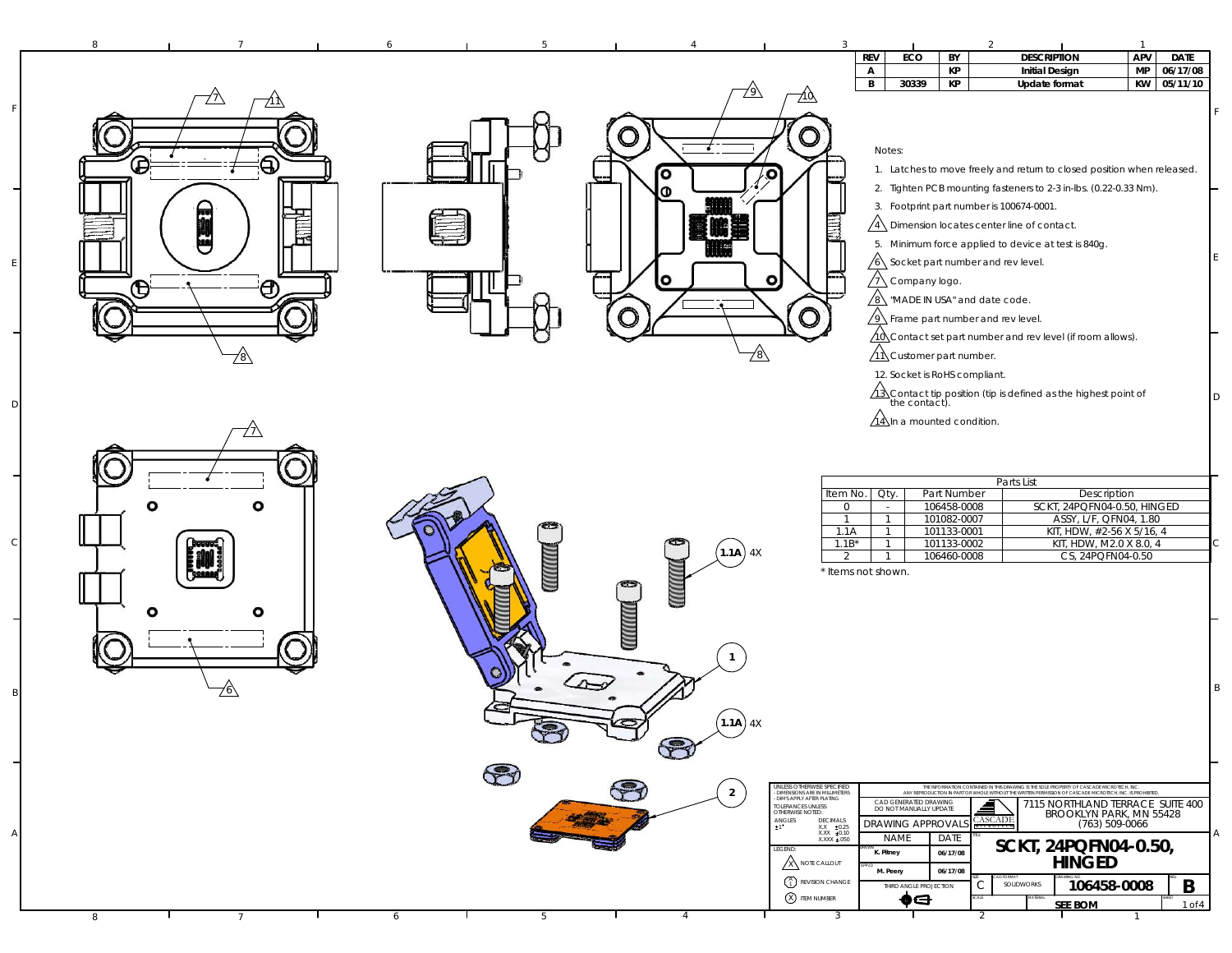| 8        | $\overline{3}$<br>$\overline{2}$<br>5<br>$\overline{1}$                                                                                                                                                                                                                                                                                                                                                                                                                                                                                                                                                                                                                                                     |        |
|----------|-------------------------------------------------------------------------------------------------------------------------------------------------------------------------------------------------------------------------------------------------------------------------------------------------------------------------------------------------------------------------------------------------------------------------------------------------------------------------------------------------------------------------------------------------------------------------------------------------------------------------------------------------------------------------------------------------------------|--------|
| Źλ       | <b>REV</b><br><b>DESCRIPTION</b><br><b>APV</b><br>ECO<br>BY<br><b>DATE</b><br>MP<br>$\mathsf{A}$<br>КP<br><b>Initial Design</b><br>06/17/08<br>B<br>КP<br>KW 05/11/10<br>30339<br>Update format<br><u> 710 </u>                                                                                                                                                                                                                                                                                                                                                                                                                                                                                             |        |
|          | ( )<br>Notes:                                                                                                                                                                                                                                                                                                                                                                                                                                                                                                                                                                                                                                                                                               |        |
| В<br>{   | 1. Latches to move freely and return to closed position when released.<br>O<br>$\bullet$<br>2. Tighten PCB mounting fasteners to 2-3 in-lbs. (0.22-0.33 Nm).<br>Φ<br>3. Footprint part number is 100674-0001.                                                                                                                                                                                                                                                                                                                                                                                                                                                                                               |        |
| Ü        | E<br>$\sqrt{4}$ Dimension locates center line of contact.<br>5. Minimum force applied to device at test is 840g.<br>/6\ Socket part number and rev level.                                                                                                                                                                                                                                                                                                                                                                                                                                                                                                                                                   |        |
| A<br>ð   | $\bullet$<br>o<br>$\sqrt{7}$ Company logo.<br>$\sqrt{8}$ "MADE IN USA" and date code.<br>$\sqrt{9}$ Frame part number and rev level.                                                                                                                                                                                                                                                                                                                                                                                                                                                                                                                                                                        |        |
| 78\      | ∕10 Contact set part number and rev level (if room allows).<br>$\sqrt{11}$ Customer part number.<br>78\<br>12. Socket is RoHS compliant.                                                                                                                                                                                                                                                                                                                                                                                                                                                                                                                                                                    |        |
|          | $\sqrt{13}$ Contact tip position (tip is defined as the highest point of the contact).<br>$\sqrt{14}$ In a mounted condition.                                                                                                                                                                                                                                                                                                                                                                                                                                                                                                                                                                               |        |
|          | Parts List<br>Item No.<br>Oty.<br>Part Number<br>Description                                                                                                                                                                                                                                                                                                                                                                                                                                                                                                                                                                                                                                                |        |
| ٥<br>o   | 106458-0008<br>SCKT, 24PQFN04-0.50, HINGED<br>$\overline{0}$<br>$\sim$<br>101082-0007<br>ASSY, L/F, QFN04, 1.80<br>$\overline{1}$<br>$\mathbf{1}$<br>101133-0001<br>KIT, HDW, #2-56 X 5/16, 4<br>1.1A<br>$\mathbf{1}$<br>$1.1B*$<br>101133-0002<br>KIT, HDW, M2.0 X 8.0, 4<br>$\overline{1}$<br>$(1.1A)$ 4X                                                                                                                                                                                                                                                                                                                                                                                                 |        |
| <b>W</b> | <b>CONTROLLER</b><br>106460-0008<br>CS, 24PQFN04-0.50<br>2<br>$\mathbf{1}$<br>* Items not shown.                                                                                                                                                                                                                                                                                                                                                                                                                                                                                                                                                                                                            |        |
| o        | MUNING                                                                                                                                                                                                                                                                                                                                                                                                                                                                                                                                                                                                                                                                                                      |        |
|          | $(1.1A)$ 4X                                                                                                                                                                                                                                                                                                                                                                                                                                                                                                                                                                                                                                                                                                 | B      |
|          | $\bigcirc$                                                                                                                                                                                                                                                                                                                                                                                                                                                                                                                                                                                                                                                                                                  |        |
|          | JNLESS OTHERWISE SPECIFIED<br>THE INFORMATION CONTAINED IN THIS DRAWING IS THE SOLE PROPERTY OF CASCADE MICROTECH. INC.<br>$\overline{2}$<br>DIMENSIONS ARE IN MILLIMETERS<br>ANY REPRODUCTION IN PART OR WHOLE WITHOUT THE WRITTEN PERMISSION OF CASCADE MICROTECH, INC. IS PROHIBITED<br>DIMS APPLY AFTER PLATING<br>CAD GENERATED DRAWING<br>7115 NORTHLAND TERRACE SUITE 400<br>≜<br>TOLERANCES UNLESS<br>OTHERWISE NOTED:<br>DO NOT MANUALLY UPDATE<br>BROOKLYN PARK, MN 55428<br>CASCADE<br>$\begin{array}{ll} \textsf{ANGLES} \\ \texttt{\small 1} \end{array}$<br>DECIMALS<br>DRAWING APPROVALS<br>(763) 509-0066<br>MICROTECI<br>$\begin{array}{cc} X.X & \pm 0.25 \\ X.XX & \pm 0.10 \end{array}$ |        |
|          | <b>NAME</b><br>DATE<br>XXXX ±.050<br>SCKT, 24PQFN04-0.50,<br>LEGEND<br>K. Pitney<br>06/17/08<br><b>HINGED</b><br><b>X NOTE CALLOUT</b><br>M. Peery<br>06/17/08<br>$\binom{A}{1}$ REVISION CHANGE<br>106458-0008<br>B<br>SOLIDWORKS<br>C<br>THIRD ANGLE PROJECTION                                                                                                                                                                                                                                                                                                                                                                                                                                           |        |
| 8        | <b>8</b> ITEM NUMBER<br>♦⋳<br><b>SEE BOM</b><br>3<br>6<br>-5<br>4                                                                                                                                                                                                                                                                                                                                                                                                                                                                                                                                                                                                                                           | 1 of 4 |

A

F

E

D

 $\epsilon$ 

B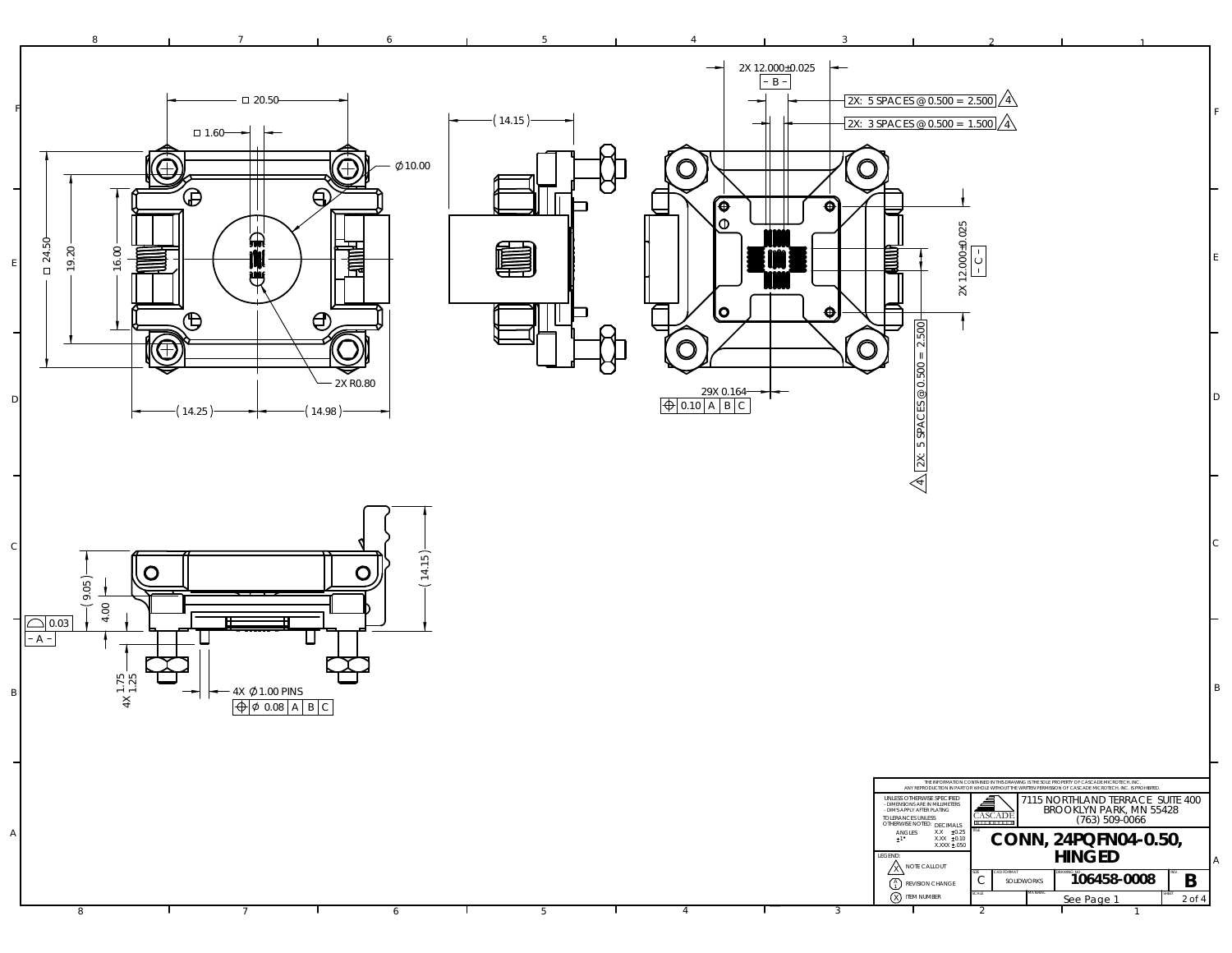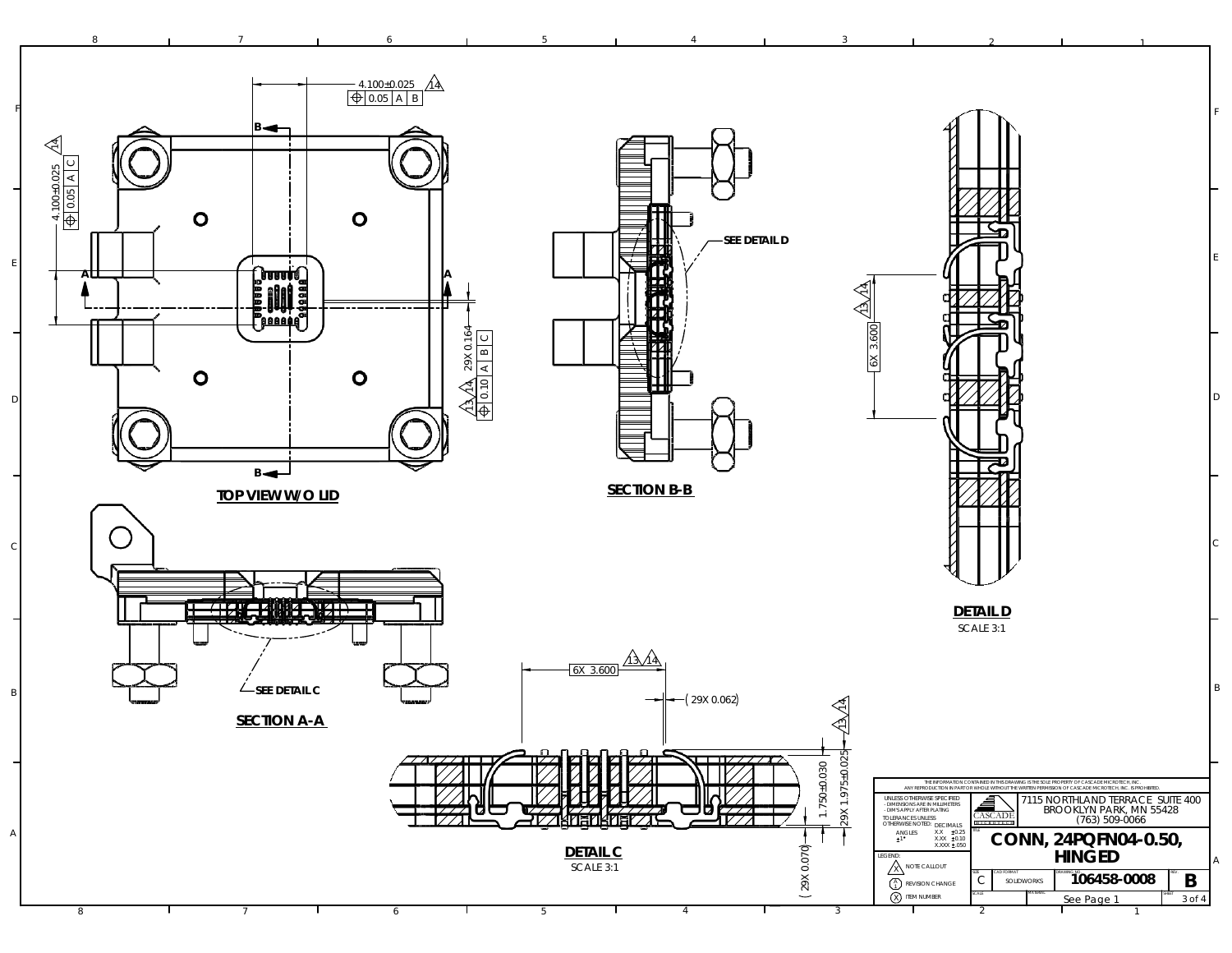